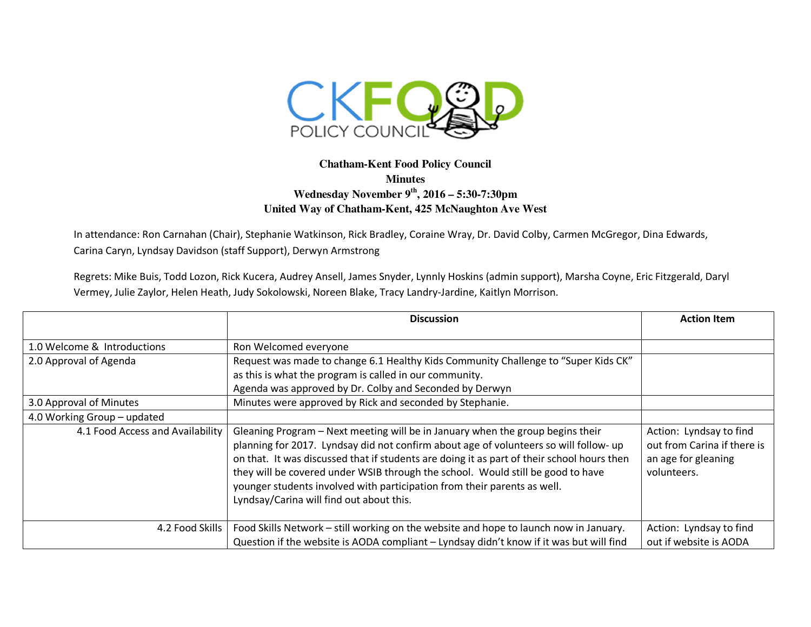

## **Chatham-Kent Food Policy Council Minutes Wednesday November 9th, 2016 – 5:30-7:30pm United Way of Chatham-Kent, 425 McNaughton Ave West**

In attendance: Ron Carnahan (Chair), Stephanie Watkinson, Rick Bradley, Coraine Wray, Dr. David Colby, Carmen McGregor, Dina Edwards, Carina Caryn, Lyndsay Davidson (staff Support), Derwyn Armstrong

Regrets: Mike Buis, Todd Lozon, Rick Kucera, Audrey Ansell, James Snyder, Lynnly Hoskins (admin support), Marsha Coyne, Eric Fitzgerald, Daryl Vermey, Julie Zaylor, Helen Heath, Judy Sokolowski, Noreen Blake, Tracy Landry-Jardine, Kaitlyn Morrison.

|                                  | <b>Discussion</b>                                                                                                                                                                                                                                                                                                                                                                                                                                                                | <b>Action Item</b>                                                                           |
|----------------------------------|----------------------------------------------------------------------------------------------------------------------------------------------------------------------------------------------------------------------------------------------------------------------------------------------------------------------------------------------------------------------------------------------------------------------------------------------------------------------------------|----------------------------------------------------------------------------------------------|
|                                  |                                                                                                                                                                                                                                                                                                                                                                                                                                                                                  |                                                                                              |
| 1.0 Welcome & Introductions      | Ron Welcomed everyone                                                                                                                                                                                                                                                                                                                                                                                                                                                            |                                                                                              |
| 2.0 Approval of Agenda           | Request was made to change 6.1 Healthy Kids Community Challenge to "Super Kids CK"                                                                                                                                                                                                                                                                                                                                                                                               |                                                                                              |
|                                  | as this is what the program is called in our community.                                                                                                                                                                                                                                                                                                                                                                                                                          |                                                                                              |
|                                  | Agenda was approved by Dr. Colby and Seconded by Derwyn                                                                                                                                                                                                                                                                                                                                                                                                                          |                                                                                              |
| 3.0 Approval of Minutes          | Minutes were approved by Rick and seconded by Stephanie.                                                                                                                                                                                                                                                                                                                                                                                                                         |                                                                                              |
| 4.0 Working Group - updated      |                                                                                                                                                                                                                                                                                                                                                                                                                                                                                  |                                                                                              |
| 4.1 Food Access and Availability | Gleaning Program - Next meeting will be in January when the group begins their<br>planning for 2017. Lyndsay did not confirm about age of volunteers so will follow- up<br>on that. It was discussed that if students are doing it as part of their school hours then<br>they will be covered under WSIB through the school. Would still be good to have<br>younger students involved with participation from their parents as well.<br>Lyndsay/Carina will find out about this. | Action: Lyndsay to find<br>out from Carina if there is<br>an age for gleaning<br>volunteers. |
| 4.2 Food Skills                  | Food Skills Network - still working on the website and hope to launch now in January.                                                                                                                                                                                                                                                                                                                                                                                            | Action: Lyndsay to find                                                                      |
|                                  | Question if the website is AODA compliant - Lyndsay didn't know if it was but will find                                                                                                                                                                                                                                                                                                                                                                                          | out if website is AODA                                                                       |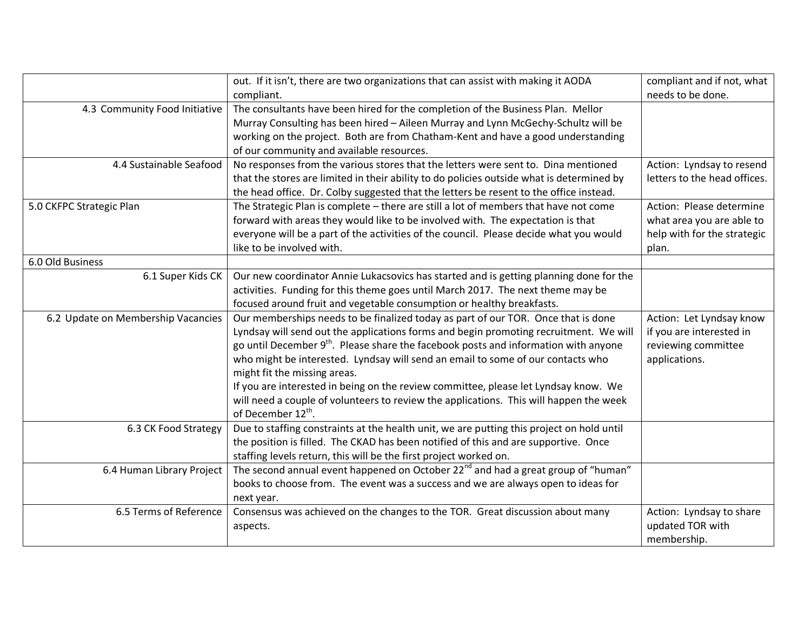|                                    | out. If it isn't, there are two organizations that can assist with making it AODA               | compliant and if not, what   |
|------------------------------------|-------------------------------------------------------------------------------------------------|------------------------------|
|                                    | compliant.                                                                                      | needs to be done.            |
| 4.3 Community Food Initiative      | The consultants have been hired for the completion of the Business Plan. Mellor                 |                              |
|                                    | Murray Consulting has been hired - Aileen Murray and Lynn McGechy-Schultz will be               |                              |
|                                    | working on the project. Both are from Chatham-Kent and have a good understanding                |                              |
|                                    | of our community and available resources.                                                       |                              |
| 4.4 Sustainable Seafood            | No responses from the various stores that the letters were sent to. Dina mentioned              | Action: Lyndsay to resend    |
|                                    | that the stores are limited in their ability to do policies outside what is determined by       | letters to the head offices. |
|                                    | the head office. Dr. Colby suggested that the letters be resent to the office instead.          |                              |
| 5.0 CKFPC Strategic Plan           | The Strategic Plan is complete - there are still a lot of members that have not come            | Action: Please determine     |
|                                    | forward with areas they would like to be involved with. The expectation is that                 | what area you are able to    |
|                                    | everyone will be a part of the activities of the council. Please decide what you would          | help with for the strategic  |
|                                    | like to be involved with.                                                                       | plan.                        |
| 6.0 Old Business                   |                                                                                                 |                              |
| 6.1 Super Kids CK                  | Our new coordinator Annie Lukacsovics has started and is getting planning done for the          |                              |
|                                    | activities. Funding for this theme goes until March 2017. The next theme may be                 |                              |
|                                    | focused around fruit and vegetable consumption or healthy breakfasts.                           |                              |
| 6.2 Update on Membership Vacancies | Our memberships needs to be finalized today as part of our TOR. Once that is done               | Action: Let Lyndsay know     |
|                                    | Lyndsay will send out the applications forms and begin promoting recruitment. We will           | if you are interested in     |
|                                    | go until December 9 <sup>th</sup> . Please share the facebook posts and information with anyone | reviewing committee          |
|                                    | who might be interested. Lyndsay will send an email to some of our contacts who                 | applications.                |
|                                    | might fit the missing areas.                                                                    |                              |
|                                    | If you are interested in being on the review committee, please let Lyndsay know. We             |                              |
|                                    | will need a couple of volunteers to review the applications. This will happen the week          |                              |
|                                    | of December 12 <sup>th</sup> .                                                                  |                              |
| 6.3 CK Food Strategy               | Due to staffing constraints at the health unit, we are putting this project on hold until       |                              |
|                                    | the position is filled. The CKAD has been notified of this and are supportive. Once             |                              |
|                                    | staffing levels return, this will be the first project worked on.                               |                              |
| 6.4 Human Library Project          | The second annual event happened on October 22 <sup>nd</sup> and had a great group of "human"   |                              |
|                                    | books to choose from. The event was a success and we are always open to ideas for               |                              |
|                                    | next year.                                                                                      |                              |
| 6.5 Terms of Reference             | Consensus was achieved on the changes to the TOR. Great discussion about many                   | Action: Lyndsay to share     |
|                                    | aspects.                                                                                        | updated TOR with             |
|                                    |                                                                                                 | membership.                  |